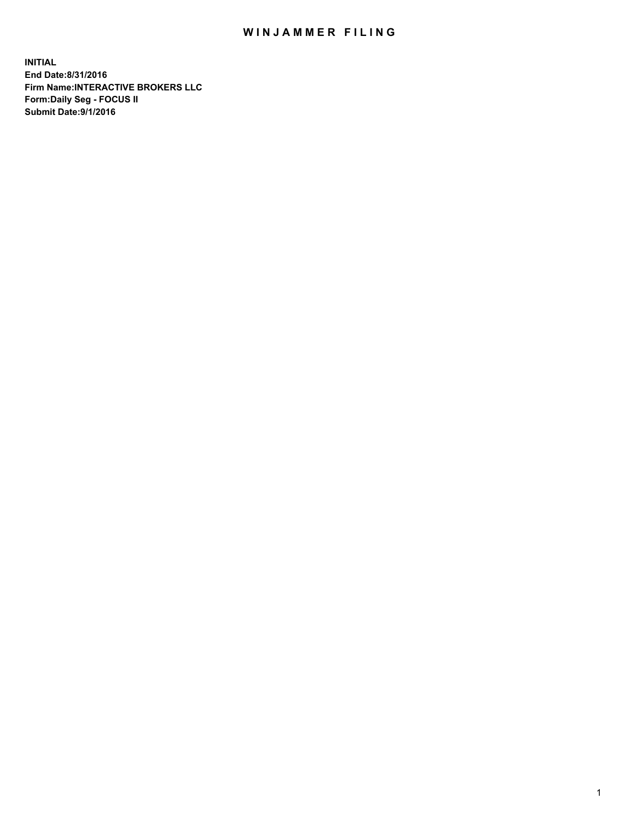## WIN JAMMER FILING

**INITIAL End Date:8/31/2016 Firm Name:INTERACTIVE BROKERS LLC Form:Daily Seg - FOCUS II Submit Date:9/1/2016**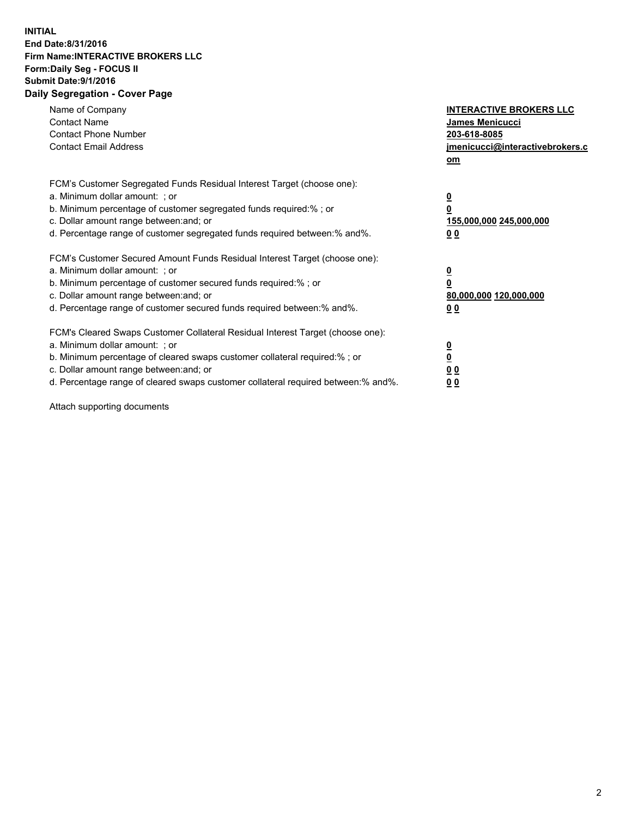## **INITIAL End Date:8/31/2016 Firm Name:INTERACTIVE BROKERS LLC Form:Daily Seg - FOCUS II Submit Date:9/1/2016 Daily Segregation - Cover Page**

| Name of Company<br><b>Contact Name</b><br><b>Contact Phone Number</b><br><b>Contact Email Address</b>                                                                                                                                                                                                                          | <b>INTERACTIVE BROKERS LLC</b><br><b>James Menicucci</b><br>203-618-8085<br><u>jmenicucci@interactivebrokers.c</u><br>om |
|--------------------------------------------------------------------------------------------------------------------------------------------------------------------------------------------------------------------------------------------------------------------------------------------------------------------------------|--------------------------------------------------------------------------------------------------------------------------|
| FCM's Customer Segregated Funds Residual Interest Target (choose one):<br>a. Minimum dollar amount: ; or<br>b. Minimum percentage of customer segregated funds required:%; or<br>c. Dollar amount range between: and; or<br>d. Percentage range of customer segregated funds required between:% and%.                          | <u>0</u><br>0<br><u>155,000,000 245,000,000</u><br>0 <sub>0</sub>                                                        |
| FCM's Customer Secured Amount Funds Residual Interest Target (choose one):<br>a. Minimum dollar amount: ; or<br>b. Minimum percentage of customer secured funds required:%; or<br>c. Dollar amount range between: and; or<br>d. Percentage range of customer secured funds required between:% and%.                            | $\overline{\mathbf{0}}$<br>0<br>80,000,000 120,000,000<br>0 <sub>0</sub>                                                 |
| FCM's Cleared Swaps Customer Collateral Residual Interest Target (choose one):<br>a. Minimum dollar amount: ; or<br>b. Minimum percentage of cleared swaps customer collateral required:% ; or<br>c. Dollar amount range between: and; or<br>d. Percentage range of cleared swaps customer collateral required between:% and%. | $\underline{\mathbf{0}}$<br>$\overline{\mathbf{0}}$<br>0 <sub>0</sub><br><u>00</u>                                       |

Attach supporting documents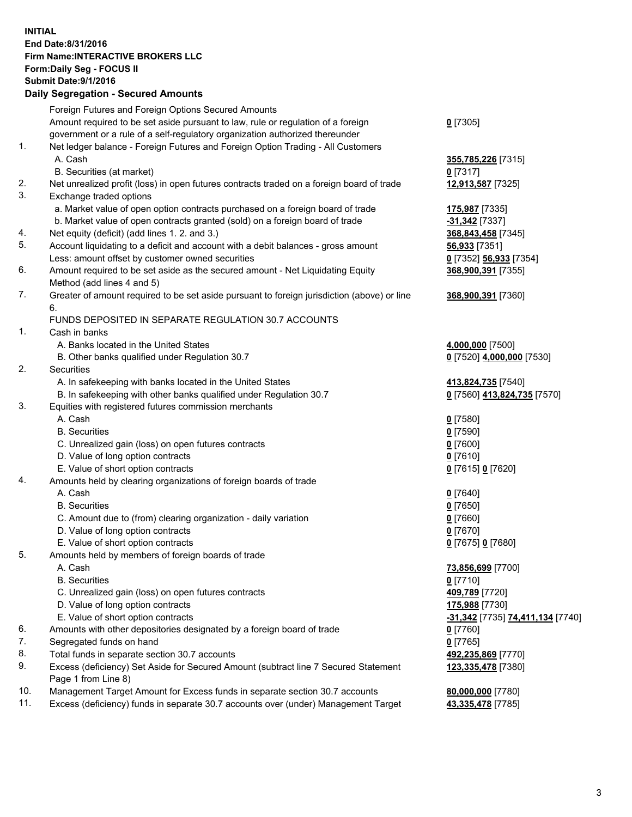## **INITIAL End Date:8/31/2016 Firm Name:INTERACTIVE BROKERS LLC Form:Daily Seg - FOCUS II Submit Date:9/1/2016 Daily Segregation - Secured Amounts**

|     | Foreign Futures and Foreign Options Secured Amounts                                         |                                                      |
|-----|---------------------------------------------------------------------------------------------|------------------------------------------------------|
|     | Amount required to be set aside pursuant to law, rule or regulation of a foreign            | $0$ [7305]                                           |
|     | government or a rule of a self-regulatory organization authorized thereunder                |                                                      |
| 1.  | Net ledger balance - Foreign Futures and Foreign Option Trading - All Customers             |                                                      |
|     | A. Cash                                                                                     | 355,785,226 [7315]                                   |
|     | B. Securities (at market)                                                                   | $0$ [7317]                                           |
| 2.  | Net unrealized profit (loss) in open futures contracts traded on a foreign board of trade   | 12,913,587 [7325]                                    |
| 3.  | Exchange traded options                                                                     |                                                      |
|     | a. Market value of open option contracts purchased on a foreign board of trade              | 175,987 [7335]                                       |
|     | b. Market value of open contracts granted (sold) on a foreign board of trade                | -31,342 [7337]                                       |
| 4.  | Net equity (deficit) (add lines 1.2. and 3.)                                                | 368,843,458 [7345]                                   |
| 5.  | Account liquidating to a deficit and account with a debit balances - gross amount           | 56,933 [7351]                                        |
|     | Less: amount offset by customer owned securities                                            | 0 [7352] 56,933 [7354]                               |
| 6.  | Amount required to be set aside as the secured amount - Net Liquidating Equity              | 368,900,391 [7355]                                   |
|     | Method (add lines 4 and 5)                                                                  |                                                      |
| 7.  | Greater of amount required to be set aside pursuant to foreign jurisdiction (above) or line | 368,900,391 [7360]                                   |
|     | 6.                                                                                          |                                                      |
|     | FUNDS DEPOSITED IN SEPARATE REGULATION 30.7 ACCOUNTS                                        |                                                      |
| 1.  | Cash in banks                                                                               |                                                      |
|     | A. Banks located in the United States                                                       | 4,000,000 [7500]                                     |
|     | B. Other banks qualified under Regulation 30.7                                              | 0 [7520] 4,000,000 [7530]                            |
| 2.  | Securities                                                                                  |                                                      |
|     | A. In safekeeping with banks located in the United States                                   | 413,824,735 [7540]                                   |
|     | B. In safekeeping with other banks qualified under Regulation 30.7                          | 0 [7560] 413,824,735 [7570]                          |
| 3.  | Equities with registered futures commission merchants                                       |                                                      |
|     | A. Cash                                                                                     | $0$ [7580]                                           |
|     | <b>B.</b> Securities                                                                        | $0$ [7590]                                           |
|     | C. Unrealized gain (loss) on open futures contracts                                         | $0$ [7600]                                           |
|     | D. Value of long option contracts                                                           | $0$ [7610]                                           |
|     | E. Value of short option contracts                                                          | 0 [7615] 0 [7620]                                    |
| 4.  | Amounts held by clearing organizations of foreign boards of trade                           |                                                      |
|     | A. Cash                                                                                     | $0$ [7640]                                           |
|     | <b>B.</b> Securities                                                                        | $0$ [7650]                                           |
|     | C. Amount due to (from) clearing organization - daily variation                             | $0$ [7660]                                           |
|     | D. Value of long option contracts                                                           | $0$ [7670]                                           |
|     | E. Value of short option contracts                                                          | 0 [7675] 0 [7680]                                    |
| 5.  | Amounts held by members of foreign boards of trade                                          |                                                      |
|     | A. Cash                                                                                     | 73,856,699 [7700]                                    |
|     | <b>B.</b> Securities                                                                        | $0$ [7710]                                           |
|     | C. Unrealized gain (loss) on open futures contracts                                         | 409,789 [7720]                                       |
|     | D. Value of long option contracts                                                           | 175,988 [7730]                                       |
|     | E. Value of short option contracts                                                          | <mark>-31,342</mark> [7735] <b>74,411,134</b> [7740] |
| 6.  | Amounts with other depositories designated by a foreign board of trade                      | $0$ [7760]                                           |
| 7.  | Segregated funds on hand                                                                    | $0$ [7765]                                           |
| 8.  | Total funds in separate section 30.7 accounts                                               | 492,235,869 [7770]                                   |
| 9.  | Excess (deficiency) Set Aside for Secured Amount (subtract line 7 Secured Statement         | 123,335,478 [7380]                                   |
|     | Page 1 from Line 8)                                                                         |                                                      |
| 10. | Management Target Amount for Excess funds in separate section 30.7 accounts                 | 80,000,000 [7780]                                    |
| 11. | Excess (deficiency) funds in separate 30.7 accounts over (under) Management Target          | 43,335,478 [7785]                                    |
|     |                                                                                             |                                                      |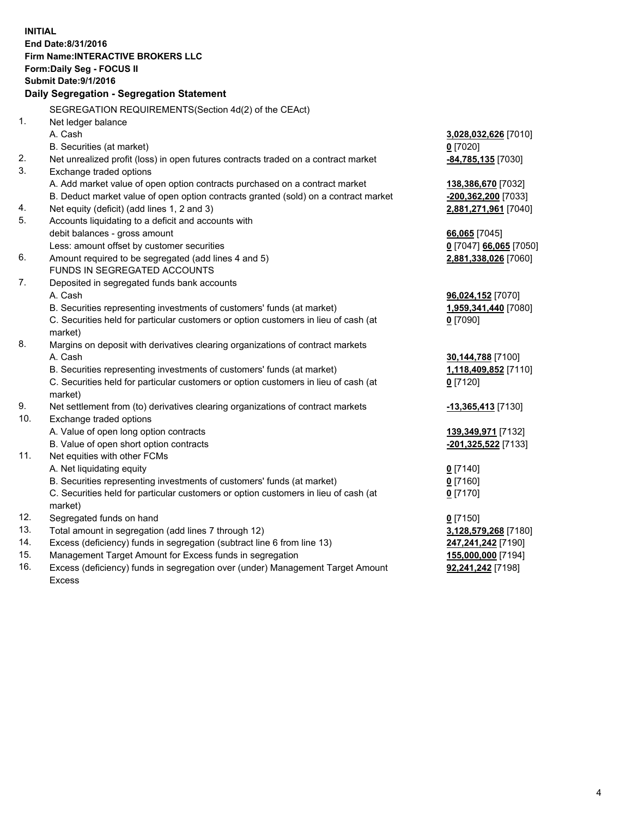**INITIAL End Date:8/31/2016 Firm Name:INTERACTIVE BROKERS LLC Form:Daily Seg - FOCUS II Submit Date:9/1/2016 Daily Segregation - Segregation Statement** SEGREGATION REQUIREMENTS(Section 4d(2) of the CEAct) 1. Net ledger balance A. Cash **3,028,032,626** [7010] B. Securities (at market) **0** [7020] 2. Net unrealized profit (loss) in open futures contracts traded on a contract market **-84,785,135** [7030] 3. Exchange traded options A. Add market value of open option contracts purchased on a contract market **138,386,670** [7032] B. Deduct market value of open option contracts granted (sold) on a contract market **-200,362,200** [7033] 4. Net equity (deficit) (add lines 1, 2 and 3) **2,881,271,961** [7040] 5. Accounts liquidating to a deficit and accounts with debit balances - gross amount **66,065** [7045] Less: amount offset by customer securities **0** [7047] **66,065** [7050] 6. Amount required to be segregated (add lines 4 and 5) **2,881,338,026** [7060] FUNDS IN SEGREGATED ACCOUNTS 7. Deposited in segregated funds bank accounts A. Cash **96,024,152** [7070] B. Securities representing investments of customers' funds (at market) **1,959,341,440** [7080] C. Securities held for particular customers or option customers in lieu of cash (at market) **0** [7090] 8. Margins on deposit with derivatives clearing organizations of contract markets A. Cash **30,144,788** [7100] B. Securities representing investments of customers' funds (at market) **1,118,409,852** [7110] C. Securities held for particular customers or option customers in lieu of cash (at market) **0** [7120] 9. Net settlement from (to) derivatives clearing organizations of contract markets **-13,365,413** [7130] 10. Exchange traded options A. Value of open long option contracts **139,349,971** [7132] B. Value of open short option contracts **-201,325,522** [7133] 11. Net equities with other FCMs A. Net liquidating equity **0** [7140] B. Securities representing investments of customers' funds (at market) **0** [7160] C. Securities held for particular customers or option customers in lieu of cash (at market) **0** [7170] 12. Segregated funds on hand **0** [7150] 13. Total amount in segregation (add lines 7 through 12) **3,128,579,268** [7180] 14. Excess (deficiency) funds in segregation (subtract line 6 from line 13) **247,241,242** [7190] 15. Management Target Amount for Excess funds in segregation **155,000,000** [7194] 16. Excess (deficiency) funds in segregation over (under) Management Target Amount **92,241,242** [7198]

Excess